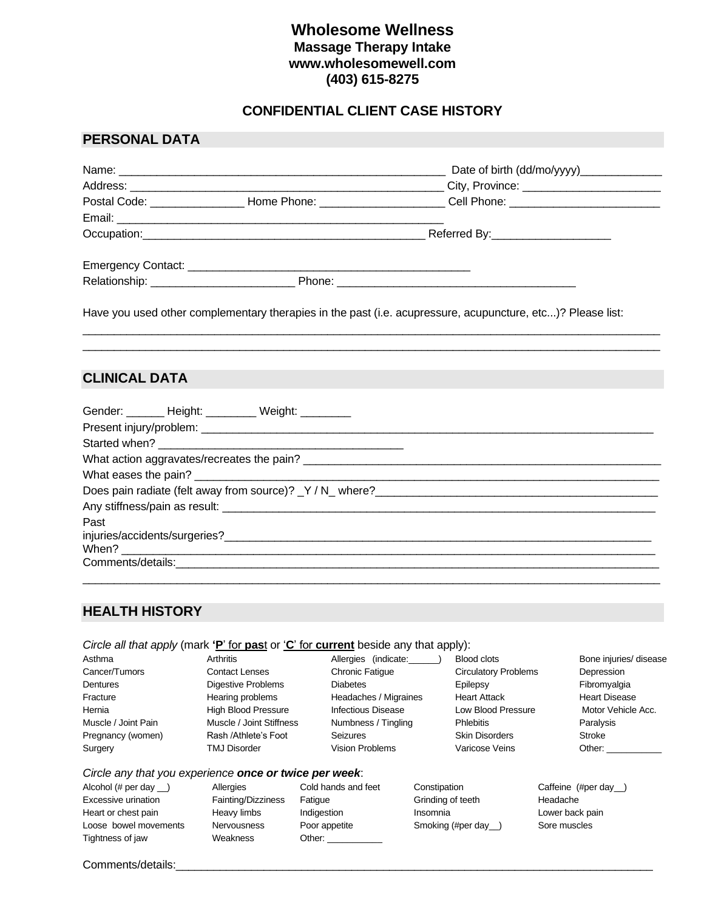## **Wholesome Wellness Massage Therapy Intake www.wholesomewell.com (403) 615-8275**

### **CONFIDENTIAL CLIENT CASE HISTORY**

### **PERSONAL DATA**

|  | City, Province: __________________________                                                                     |  |  |
|--|----------------------------------------------------------------------------------------------------------------|--|--|
|  | Postal Code: ____________________Home Phone: _________________________Cell Phone: ____________________________ |  |  |
|  |                                                                                                                |  |  |
|  | Referred By: _______________________                                                                           |  |  |
|  |                                                                                                                |  |  |
|  |                                                                                                                |  |  |
|  |                                                                                                                |  |  |
|  |                                                                                                                |  |  |
|  | Have you used other complementary therapies in the past (i.e. acupressure, acupuncture, etc)? Please list:     |  |  |

 $\Box$  . The contribution of the contribution of the contribution of the contribution of the contribution of the contribution of the contribution of the contribution of the contribution of the contribution of the contributi

# **CLINICAL DATA**

|      | Gender: _______ Height: _________ Weight: ________ |  |
|------|----------------------------------------------------|--|
|      |                                                    |  |
|      |                                                    |  |
|      |                                                    |  |
|      |                                                    |  |
|      |                                                    |  |
|      |                                                    |  |
| Past |                                                    |  |
|      |                                                    |  |
|      |                                                    |  |
|      |                                                    |  |
|      |                                                    |  |

### **HEALTH HISTORY**

### *Circle all that apply* (mark **'P**' for **pas**t or '**C**' for **current** beside any that apply):

| Asthma              | Arthritis                  | Allergies (indicate:      | <b>Blood clots</b>          | Bone injuries/ disease |
|---------------------|----------------------------|---------------------------|-----------------------------|------------------------|
| Cancer/Tumors       | <b>Contact Lenses</b>      | <b>Chronic Fatigue</b>    | <b>Circulatory Problems</b> | Depression             |
| Dentures            | <b>Digestive Problems</b>  | <b>Diabetes</b>           | Epilepsy                    | Fibromyalgia           |
| Fracture            | Hearing problems           | Headaches / Migraines     | <b>Heart Attack</b>         | <b>Heart Disease</b>   |
| Hernia              | <b>High Blood Pressure</b> | <b>Infectious Disease</b> | Low Blood Pressure          | Motor Vehicle Acc.     |
| Muscle / Joint Pain | Muscle / Joint Stiffness   | Numbness / Tingling       | <b>Phlebitis</b>            | Paralysis              |
| Pregnancy (women)   | Rash /Athlete's Foot       | Seizures                  | <b>Skin Disorders</b>       | Stroke                 |
| Surgery             | <b>TMJ Disorder</b>        | <b>Vision Problems</b>    | Varicose Veins              | Other:                 |
|                     |                            |                           |                             |                        |

#### *Circle any that you experience once or twice per week*:

Alcohol (# per day \_\_) Allergies Cold hands and feet Constipation Caffeine (#per day \_\_) Excessive urination **Fainting/Dizziness** Fatigue Grinding of teeth Headache Heart or chest pain **Heavy limbs** Indigestion Insomnia **Insomnia** Lower back pain Loose bowel movements Mervousness Poor appetite Smoking (#per day\_) Sore muscles Tightness of jaw Weakness Other:

#### Comments/details: